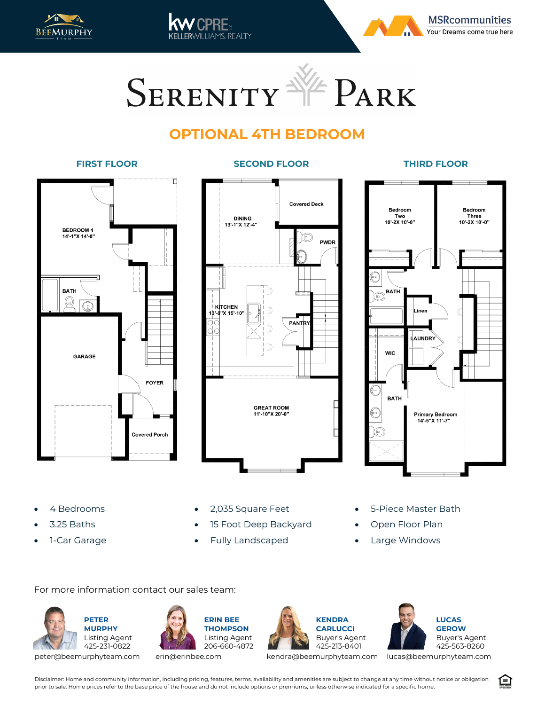



SERENITY VE PARK

AMS REALTY

## **OPTIONAL 4TH BEDROOM**

## **FIRST FLOOR SECOND FLOOR THIRD FLOOR**

## П **REDROOM 4** 14'-1"X 14'-0" **BATH**  $(\!\omega\!)$ **GARAGE FOYER Covered Porch**



**Bedroom** Bedroom - Three<br>10'-2X 10'-0" Two<br>"10'-2X 10'-0 **BATH** inen AUNDR<sup>:</sup> **WIC BATH Primary Bedroom** 14'-5"X 11'-7"

- 4 Bedrooms
- 3.25 Baths
- 1-Car Garage
- 2,035 Square Feet
- 15 Foot Deep Backyard
- Fully Landscaped
- 5-Piece Master Bath
- Open Floor Plan
- Large Windows

For more information contact our sales team:











kendra@beemurphyteam.com lucas@beemurphyteam.com

Disclaimer: Home and community information, including pricing, features, terms, availability and amenities are subject to change at any time without notice or obligation prior to sale. Home prices refer to the base price of the house and do not include options or premiums, unless otherwise indicated for a specific home.